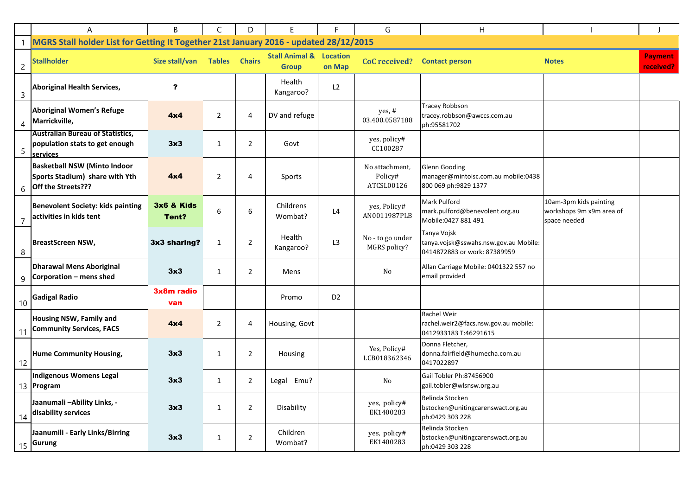|                 | A                                                                                           | B                   | C              | D              | E.                                                 |                | G                                       | H                                                                                    |                                                                    |                             |
|-----------------|---------------------------------------------------------------------------------------------|---------------------|----------------|----------------|----------------------------------------------------|----------------|-----------------------------------------|--------------------------------------------------------------------------------------|--------------------------------------------------------------------|-----------------------------|
|                 | MGRS Stall holder List for Getting It Together 21st January 2016 - updated 28/12/2015       |                     |                |                |                                                    |                |                                         |                                                                                      |                                                                    |                             |
| $\overline{c}$  | <b>Stallholder</b>                                                                          | Size stall/van      | Tables Chairs  |                | <b>Stall Animal &amp; Location</b><br><b>Group</b> | on Map         | <b>CoC</b> received?                    | <b>Contact person</b>                                                                | <b>Notes</b>                                                       | <b>Payment</b><br>received? |
| $\mathsf{3}$    | <b>Aboriginal Health Services,</b>                                                          | ?                   |                |                | Health<br>Kangaroo?                                | L <sub>2</sub> |                                         |                                                                                      |                                                                    |                             |
| 4               | Aboriginal Women's Refuge<br>Marrickville,                                                  | 4x4                 | $\overline{2}$ | 4              | DV and refuge                                      |                | yes, #<br>03.400.0587188                | <b>Tracey Robbson</b><br>tracey.robbson@awccs.com.au<br>ph:95581702                  |                                                                    |                             |
| 5               | <b>Australian Bureau of Statistics,</b><br>population stats to get enough<br>services       | 3x3                 | 1              | $\overline{2}$ | Govt                                               |                | yes, policy#<br>CC100287                |                                                                                      |                                                                    |                             |
| 6               | <b>Basketball NSW (Minto Indoor</b><br>Sports Stadium) share with Yth<br>Off the Streets??? | 4x4                 | 2              | 4              | Sports                                             |                | No attachment,<br>Policy#<br>ATCSL00126 | Glenn Gooding<br>manager@mintoisc.com.au mobile:0438<br>800 069 ph:9829 1377         |                                                                    |                             |
|                 | <b>Benevolent Society: kids painting</b><br>activities in kids tent                         | 3x6 & Kids<br>Tent? | 6              | 6              | Childrens<br>Wombat?                               | L4             | yes, Policy#<br>AN0011987PLB            | Mark Pulford<br>mark.pulford@benevolent.org.au<br>Mobile:0427 881 491                | 10am-3pm kids painting<br>workshops 9m x9m area of<br>space needed |                             |
| 8               | <b>BreastScreen NSW,</b>                                                                    | 3x3 sharing?        | 1              | $\overline{2}$ | Health<br>Kangaroo?                                | L3             | No - to go under<br>MGRS policy?        | Tanya Vojsk<br>tanya.vojsk@sswahs.nsw.gov.au Mobile:<br>0414872883 or work: 87389959 |                                                                    |                             |
| 9               | <b>Dharawal Mens Aboriginal</b><br>Corporation - mens shed                                  | 3x3                 | $\mathbf{1}$   | 2              | Mens                                               |                | $\rm No$                                | Allan Carriage Mobile: 0401322 557 no<br>email provided                              |                                                                    |                             |
| 10 <sup>°</sup> | <b>Gadigal Radio</b>                                                                        | 3x8m radio<br>van   |                |                | Promo                                              | D <sub>2</sub> |                                         |                                                                                      |                                                                    |                             |
| -11             | Housing NSW, Family and<br><b>Community Services, FACS</b>                                  | 4x4                 | $\overline{2}$ | 4              | Housing, Govt                                      |                |                                         | Rachel Weir<br>rachel.weir2@facs.nsw.gov.au mobile:<br>0412933183 T:46291615         |                                                                    |                             |
| 12              | <b>Hume Community Housing,</b>                                                              | 3x3                 | $\mathbf{1}$   | $\overline{2}$ | Housing                                            |                | Yes, Policy#<br>LCB018362346            | Donna Fletcher,<br>donna.fairfield@humecha.com.au<br>0417022897                      |                                                                    |                             |
|                 | <b>Indigenous Womens Legal</b><br>13 Program                                                | 3x3                 | 1              | $\overline{2}$ | Legal<br>Emu?                                      |                | No                                      | Gail Tobler Ph:87456900<br>gail.tobler@wlsnsw.org.au                                 |                                                                    |                             |
| 14              | Jaanumali-Ability Links, -<br>disability services                                           | 3x3                 | $\mathbf{1}$   | $\overline{2}$ | Disability                                         |                | yes, policy#<br>EK1400283               | Belinda Stocken<br>bstocken@unitingcarenswact.org.au<br>ph:0429 303 228              |                                                                    |                             |
|                 | Jaanumili - Early Links/Birring<br>$\frac{15}{15}$ Gurung                                   | 3x3                 | $\mathbf{1}$   | $\overline{2}$ | Children<br>Wombat?                                |                | yes, policy#<br>EK1400283               | Belinda Stocken<br>bstocken@unitingcarenswact.org.au<br>ph:0429 303 228              |                                                                    |                             |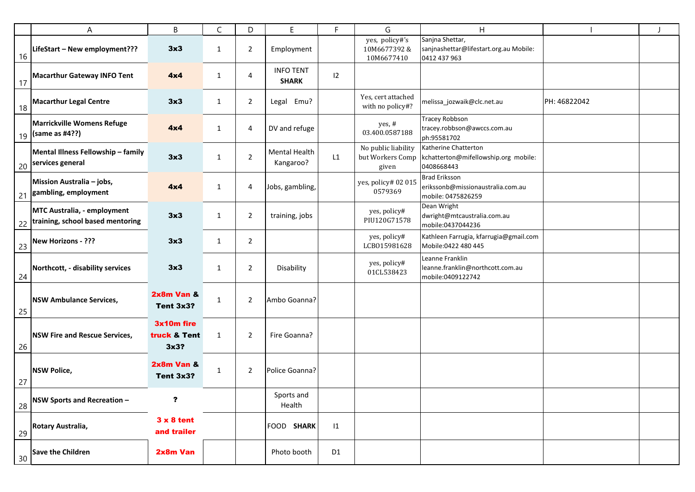|                 | Α                                                                      | В                                  | C            | D              | E.                               | F.             | G                                                | H                                                                               |              |  |
|-----------------|------------------------------------------------------------------------|------------------------------------|--------------|----------------|----------------------------------|----------------|--------------------------------------------------|---------------------------------------------------------------------------------|--------------|--|
| 16              | LifeStart - New employment???                                          | 3x3                                | 1            | $\overline{2}$ | Employment                       |                | yes, policy#'s<br>10M6677392&<br>10M6677410      | Sanjna Shettar,<br>sanjnashettar@lifestart.org.au Mobile:<br>0412 437 963       |              |  |
| 17              | Macarthur Gateway INFO Tent                                            | 4x4                                | $\mathbf{1}$ | 4              | <b>INFO TENT</b><br><b>SHARK</b> | $ 2\rangle$    |                                                  |                                                                                 |              |  |
| 18              | <b>Macarthur Legal Centre</b>                                          | 3x3                                | $\mathbf{1}$ | 2              | Legal Emu?                       |                | Yes, cert attached<br>with no policy#?           | melissa_jozwaik@clc.net.au                                                      | PH: 46822042 |  |
|                 | Marrickville Womens Refuge<br>19 (same as #4??)                        | 4x4                                | $\mathbf{1}$ | 4              | DV and refuge                    |                | yes, #<br>03.400.0587188                         | <b>Tracey Robbson</b><br>tracey.robbson@awccs.com.au<br>ph:95581702             |              |  |
|                 | Mental Illness Fellowship - family<br>$\frac{20}{20}$ services general | 3x3                                | 1            | $\overline{2}$ | Mental Health<br>Kangaroo?       | L1             | No public liability<br>but Workers Comp<br>given | Katherine Chatterton<br>kchatterton@mifellowship.org mobile:<br>0408668443      |              |  |
| 21              | Mission Australia - jobs,<br>gambling, employment                      | 4x4                                | 1            | 4              | Jobs, gambling,                  |                | yes, policy# 02 015<br>0579369                   | <b>Brad Eriksson</b><br>erikssonb@missionaustralia.com.au<br>mobile: 0475826259 |              |  |
|                 | MTC Australia, - employment<br>22 training, school based mentoring     | 3x3                                | $\mathbf{1}$ | $\overline{2}$ | training, jobs                   |                | yes, policy#<br>PIU120G71578                     | Dean Wright<br>dwright@mtcaustralia.com.au<br>mobile:0437044236                 |              |  |
| 23              | New Horizons - ???                                                     | 3x3                                | $\mathbf{1}$ | $\overline{2}$ |                                  |                | yes, policy#<br>LCB015981628                     | Kathleen Farrugia, kfarrugia@gmail.com<br>Mobile:0422 480 445                   |              |  |
| 24              | Northcott, - disability services                                       | 3x3                                | 1            | $\overline{2}$ | Disability                       |                | yes, policy#<br>01CL538423                       | Leanne Franklin<br>leanne.franklin@northcott.com.au<br>mobile:0409122742        |              |  |
| 25              | NSW Ambulance Services,                                                | 2x8m Van &<br>Tent 3x3?            | $\mathbf{1}$ | 2              | Ambo Goanna?                     |                |                                                  |                                                                                 |              |  |
| 26              | <b>NSW Fire and Rescue Services,</b>                                   | 3x10m fire<br>truck & Tent<br>3x3? | 1            | 2              | Fire Goanna?                     |                |                                                  |                                                                                 |              |  |
| 27              | <b>NSW Police,</b>                                                     | 2x8m Van &<br>Tent 3x3?            | $\mathbf{1}$ | $\overline{2}$ | Police Goanna?                   |                |                                                  |                                                                                 |              |  |
| 28              | NSW Sports and Recreation -                                            | ?                                  |              |                | Sports and<br>Health             |                |                                                  |                                                                                 |              |  |
| 29              | Rotary Australia,                                                      | $3 \times 8$ tent<br>and trailer   |              |                | FOOD SHARK                       | 1              |                                                  |                                                                                 |              |  |
| 30 <sup>°</sup> | <b>Save the Children</b>                                               | 2x8m Van                           |              |                | Photo booth                      | D <sub>1</sub> |                                                  |                                                                                 |              |  |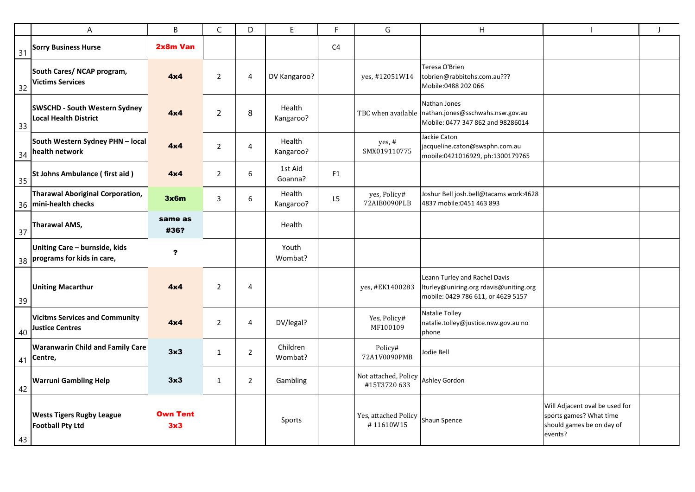|    | A                                                                    | B                      | $\mathsf C$    | D              | $\mathsf E$         | $\mathsf{F}$ | G                                   | $\overline{H}$                                                                                                |                                                                                                   | $\overline{1}$ |
|----|----------------------------------------------------------------------|------------------------|----------------|----------------|---------------------|--------------|-------------------------------------|---------------------------------------------------------------------------------------------------------------|---------------------------------------------------------------------------------------------------|----------------|
| 31 | <b>Sorry Business Hurse</b>                                          | 2x8m Van               |                |                |                     | C4           |                                     |                                                                                                               |                                                                                                   |                |
| 32 | South Cares/ NCAP program,<br><b>Victims Services</b>                | 4x4                    | $\overline{2}$ | 4              | DV Kangaroo?        |              | yes, #12051W14                      | Teresa O'Brien<br>tobrien@rabbitohs.com.au???<br>Mobile:0488 202 066                                          |                                                                                                   |                |
| 33 | <b>SWSCHD - South Western Sydney</b><br><b>Local Health District</b> | 4x4                    | $\overline{2}$ | $\,8\,$        | Health<br>Kangaroo? |              |                                     | Nathan Jones<br>TBC when available   nathan.jones@sschwahs.nsw.gov.au<br>Mobile: 0477 347 862 and 98286014    |                                                                                                   |                |
|    | South Western Sydney PHN - local<br>$\frac{1}{34}$ health network    | 4x4                    | $\overline{2}$ | 4              | Health<br>Kangaroo? |              | yes, #<br>SMX019110775              | Jackie Caton<br>jacqueline.caton@swsphn.com.au<br>mobile:0421016929, ph:1300179765                            |                                                                                                   |                |
| 35 | <b>St Johns Ambulance (first aid)</b>                                | 4x4                    | $\overline{2}$ | 6              | 1st Aid<br>Goanna?  | F1           |                                     |                                                                                                               |                                                                                                   |                |
|    | Tharawal Aboriginal Corporation,<br>36 mini-health checks            | 3x6m                   | 3              | 6              | Health<br>Kangaroo? | L5           | yes, Policy#<br>72AIB0090PLB        | Joshur Bell josh.bell@tacams work:4628<br>4837 mobile:0451 463 893                                            |                                                                                                   |                |
| 37 | Tharawal AMS,                                                        | same as<br>#36?        |                |                | Health              |              |                                     |                                                                                                               |                                                                                                   |                |
|    | Uniting Care - burnside, kids<br>$38$ programs for kids in care,     | ?                      |                |                | Youth<br>Wombat?    |              |                                     |                                                                                                               |                                                                                                   |                |
| 39 | <b>Uniting Macarthur</b>                                             | 4x4                    | $\overline{2}$ | 4              |                     |              | yes, #EK1400283                     | Leann Turley and Rachel Davis<br>lturley@uniring.org rdavis@uniting.org<br>mobile: 0429 786 611, or 4629 5157 |                                                                                                   |                |
| 40 | <b>Vicitms Services and Community</b><br><b>Justice Centres</b>      | 4x4                    | $\overline{2}$ | 4              | DV/legal?           |              | Yes, Policy#<br>MF100109            | Natalie Tolley<br>natalie.tolley@justice.nsw.gov.au no<br>phone                                               |                                                                                                   |                |
|    | <b>Waranwarin Child and Family Care</b><br>41 Centre,                | 3x3                    | $\mathbf{1}$   | $\overline{2}$ | Children<br>Wombat? |              | Policy#<br>72A1V0090PMB             | Jodie Bell                                                                                                    |                                                                                                   |                |
| 42 | <b>Warruni Gambling Help</b>                                         | 3x3                    | $\mathbf{1}$   | $\overline{2}$ | Gambling            |              | Not attached, Policy<br>#15T3720633 | Ashley Gordon                                                                                                 |                                                                                                   |                |
| 43 | <b>Wests Tigers Rugby League</b><br><b>Football Pty Ltd</b>          | <b>Own Tent</b><br>3x3 |                |                | Sports              |              | Yes, attached Policy<br>#11610W15   | Shaun Spence                                                                                                  | Will Adjacent oval be used for<br>sports games? What time<br>should games be on day of<br>events? |                |